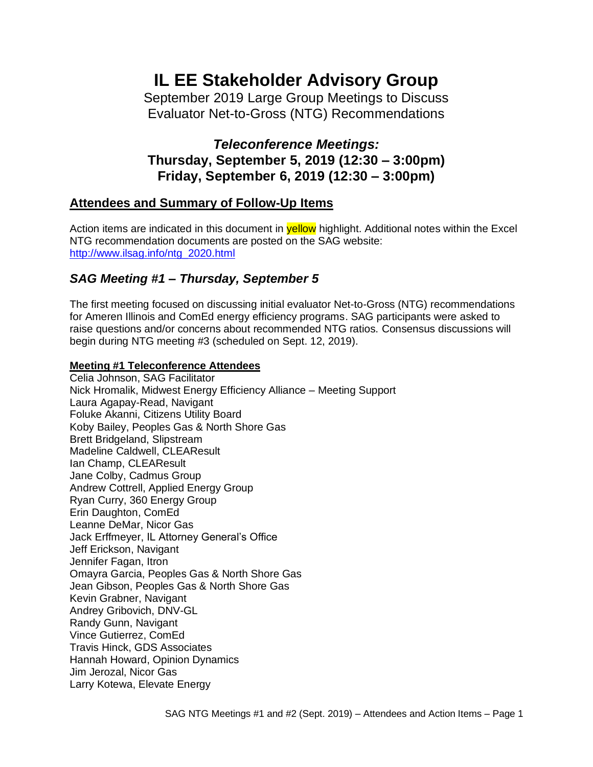# **IL EE Stakeholder Advisory Group**

September 2019 Large Group Meetings to Discuss Evaluator Net-to-Gross (NTG) Recommendations

# *Teleconference Meetings:* **Thursday, September 5, 2019 (12:30 – 3:00pm) Friday, September 6, 2019 (12:30 – 3:00pm)**

# **Attendees and Summary of Follow-Up Items**

Action items are indicated in this document in **yellow** highlight. Additional notes within the Excel NTG recommendation documents are posted on the SAG website: [http://www.ilsag.info/ntg\\_2020.html](http://www.ilsag.info/ntg_2020.html)

# *SAG Meeting #1 – Thursday, September 5*

The first meeting focused on discussing initial evaluator Net-to-Gross (NTG) recommendations for Ameren Illinois and ComEd energy efficiency programs. SAG participants were asked to raise questions and/or concerns about recommended NTG ratios. Consensus discussions will begin during NTG meeting #3 (scheduled on Sept. 12, 2019).

## **Meeting #1 Teleconference Attendees**

Celia Johnson, SAG Facilitator Nick Hromalik, Midwest Energy Efficiency Alliance – Meeting Support Laura Agapay-Read, Navigant Foluke Akanni, Citizens Utility Board Koby Bailey, Peoples Gas & North Shore Gas Brett Bridgeland, Slipstream Madeline Caldwell, CLEAResult Ian Champ, CLEAResult Jane Colby, Cadmus Group Andrew Cottrell, Applied Energy Group Ryan Curry, 360 Energy Group Erin Daughton, ComEd Leanne DeMar, Nicor Gas Jack Erffmeyer, IL Attorney General's Office Jeff Erickson, Navigant Jennifer Fagan, Itron Omayra Garcia, Peoples Gas & North Shore Gas Jean Gibson, Peoples Gas & North Shore Gas Kevin Grabner, Navigant Andrey Gribovich, DNV-GL Randy Gunn, Navigant Vince Gutierrez, ComEd Travis Hinck, GDS Associates Hannah Howard, Opinion Dynamics Jim Jerozal, Nicor Gas Larry Kotewa, Elevate Energy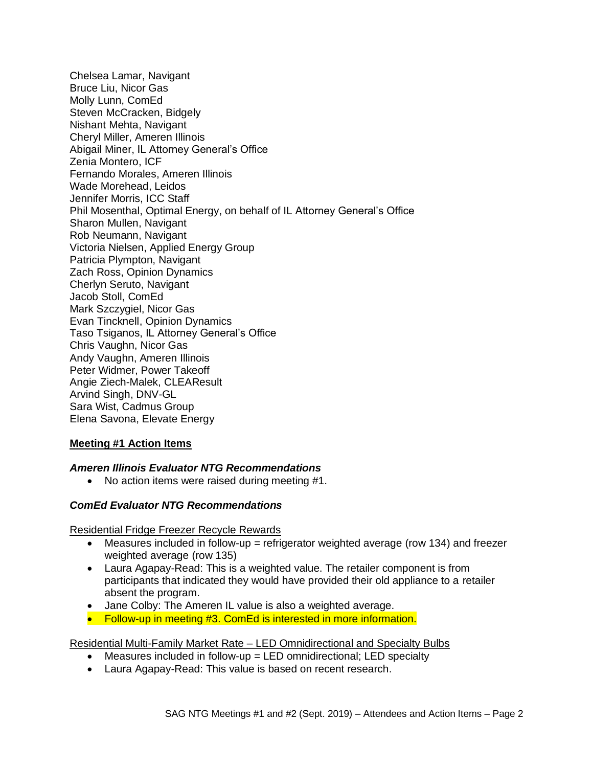Chelsea Lamar, Navigant Bruce Liu, Nicor Gas Molly Lunn, ComEd Steven McCracken, Bidgely Nishant Mehta, Navigant Cheryl Miller, Ameren Illinois Abigail Miner, IL Attorney General's Office Zenia Montero, ICF Fernando Morales, Ameren Illinois Wade Morehead, Leidos Jennifer Morris, ICC Staff Phil Mosenthal, Optimal Energy, on behalf of IL Attorney General's Office Sharon Mullen, Navigant Rob Neumann, Navigant Victoria Nielsen, Applied Energy Group Patricia Plympton, Navigant Zach Ross, Opinion Dynamics Cherlyn Seruto, Navigant Jacob Stoll, ComEd Mark Szczygiel, Nicor Gas Evan Tincknell, Opinion Dynamics Taso Tsiganos, IL Attorney General's Office Chris Vaughn, Nicor Gas Andy Vaughn, Ameren Illinois Peter Widmer, Power Takeoff Angie Ziech-Malek, CLEAResult Arvind Singh, DNV-GL Sara Wist, Cadmus Group Elena Savona, Elevate Energy

## **Meeting #1 Action Items**

## *Ameren Illinois Evaluator NTG Recommendations*

• No action items were raised during meeting #1.

## *ComEd Evaluator NTG Recommendations*

Residential Fridge Freezer Recycle Rewards

- Measures included in follow-up = refrigerator weighted average (row 134) and freezer weighted average (row 135)
- Laura Agapay-Read: This is a weighted value. The retailer component is from participants that indicated they would have provided their old appliance to a retailer absent the program.
- Jane Colby: The Ameren IL value is also a weighted average.
- Follow-up in meeting #3. ComEd is interested in more information.

## Residential Multi-Family Market Rate – LED Omnidirectional and Specialty Bulbs

- Measures included in follow-up = LED omnidirectional; LED specialty
- Laura Agapay-Read: This value is based on recent research.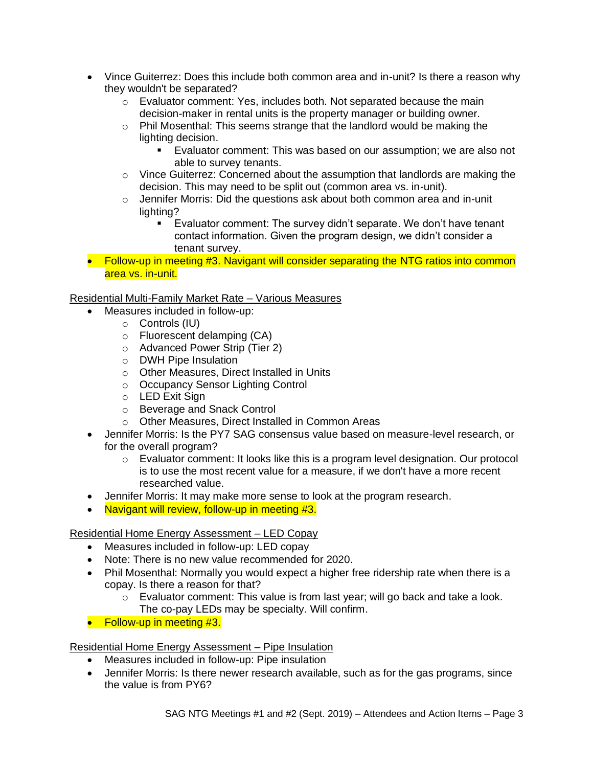- Vince Guiterrez: Does this include both common area and in-unit? Is there a reason why they wouldn't be separated?
	- o Evaluator comment: Yes, includes both. Not separated because the main decision-maker in rental units is the property manager or building owner.
	- $\circ$  Phil Mosenthal: This seems strange that the landlord would be making the lighting decision.
		- Evaluator comment: This was based on our assumption; we are also not able to survey tenants.
	- $\circ$  Vince Guiterrez: Concerned about the assumption that landlords are making the decision. This may need to be split out (common area vs. in-unit).
	- o Jennifer Morris: Did the questions ask about both common area and in-unit lighting?
		- Evaluator comment: The survey didn't separate. We don't have tenant contact information. Given the program design, we didn't consider a tenant survey.
- Follow-up in meeting #3. Navigant will consider separating the NTG ratios into common area vs. in-unit.

Residential Multi-Family Market Rate – Various Measures

- Measures included in follow-up:
	- o Controls (IU)
	- o Fluorescent delamping (CA)
	- o Advanced Power Strip (Tier 2)
	- o DWH Pipe Insulation
	- o Other Measures, Direct Installed in Units
	- o Occupancy Sensor Lighting Control
	- o LED Exit Sign
	- o Beverage and Snack Control
	- o Other Measures, Direct Installed in Common Areas
- Jennifer Morris: Is the PY7 SAG consensus value based on measure-level research, or for the overall program?
	- $\circ$  Evaluator comment: It looks like this is a program level designation. Our protocol is to use the most recent value for a measure, if we don't have a more recent researched value.
- Jennifer Morris: It may make more sense to look at the program research.
- Navigant will review, follow-up in meeting #3.

Residential Home Energy Assessment – LED Copay

- Measures included in follow-up: LED copay
- Note: There is no new value recommended for 2020.
- Phil Mosenthal: Normally you would expect a higher free ridership rate when there is a copay. Is there a reason for that?
	- $\circ$  Evaluator comment: This value is from last year; will go back and take a look. The co-pay LEDs may be specialty. Will confirm.
- Follow-up in meeting #3.

Residential Home Energy Assessment – Pipe Insulation

- Measures included in follow-up: Pipe insulation
- Jennifer Morris: Is there newer research available, such as for the gas programs, since the value is from PY6?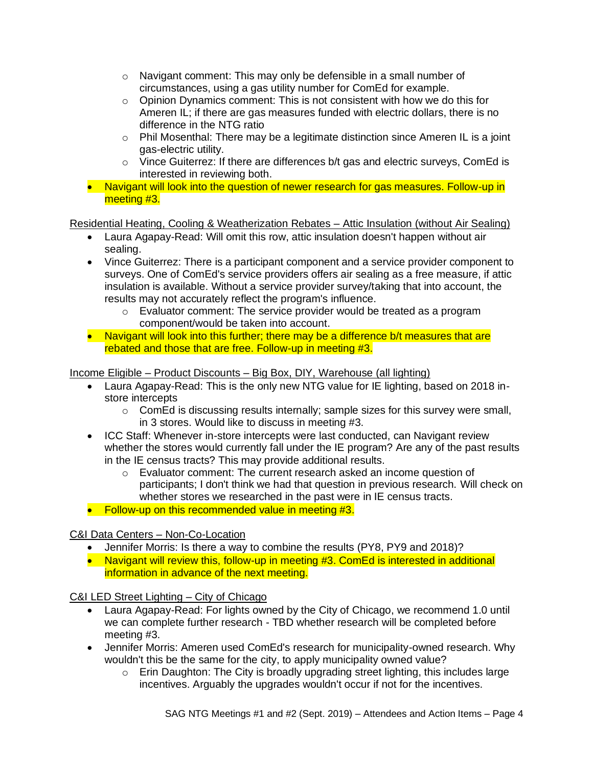- $\circ$  Navigant comment: This may only be defensible in a small number of circumstances, using a gas utility number for ComEd for example.
- o Opinion Dynamics comment: This is not consistent with how we do this for Ameren IL; if there are gas measures funded with electric dollars, there is no difference in the NTG ratio
- $\circ$  Phil Mosenthal: There may be a legitimate distinction since Ameren IL is a joint gas-electric utility.
- $\circ$  Vince Guiterrez: If there are differences b/t gas and electric surveys, ComEd is interested in reviewing both.
- Navigant will look into the question of newer research for gas measures. Follow-up in meeting #3.

Residential Heating, Cooling & Weatherization Rebates – Attic Insulation (without Air Sealing)

- Laura Agapay-Read: Will omit this row, attic insulation doesn't happen without air sealing.
- Vince Guiterrez: There is a participant component and a service provider component to surveys. One of ComEd's service providers offers air sealing as a free measure, if attic insulation is available. Without a service provider survey/taking that into account, the results may not accurately reflect the program's influence.
	- o Evaluator comment: The service provider would be treated as a program component/would be taken into account.
- Navigant will look into this further; there may be a difference b/t measures that are rebated and those that are free. Follow-up in meeting #3.

Income Eligible – Product Discounts – Big Box, DIY, Warehouse (all lighting)

- Laura Agapay-Read: This is the only new NTG value for IE lighting, based on 2018 instore intercepts
	- o ComEd is discussing results internally; sample sizes for this survey were small, in 3 stores. Would like to discuss in meeting #3.
- ICC Staff: Whenever in-store intercepts were last conducted, can Navigant review whether the stores would currently fall under the IE program? Are any of the past results in the IE census tracts? This may provide additional results.
	- $\circ$  Evaluator comment: The current research asked an income question of participants; I don't think we had that question in previous research. Will check on whether stores we researched in the past were in IE census tracts.
- Follow-up on this recommended value in meeting #3.

## C&I Data Centers – Non-Co-Location

- Jennifer Morris: Is there a way to combine the results (PY8, PY9 and 2018)?
- Navigant will review this, follow-up in meeting #3. ComEd is interested in additional information in advance of the next meeting.

C&I LED Street Lighting – City of Chicago

- Laura Agapay-Read: For lights owned by the City of Chicago, we recommend 1.0 until we can complete further research - TBD whether research will be completed before meeting #3.
- Jennifer Morris: Ameren used ComEd's research for municipality-owned research. Why wouldn't this be the same for the city, to apply municipality owned value?
	- $\circ$  Erin Daughton: The City is broadly upgrading street lighting, this includes large incentives. Arguably the upgrades wouldn't occur if not for the incentives.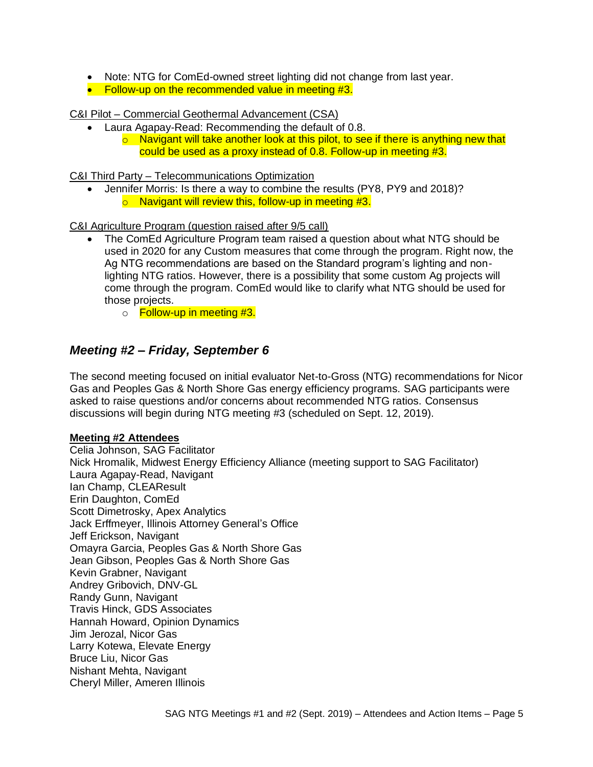- Note: NTG for ComEd-owned street lighting did not change from last year.
- Follow-up on the recommended value in meeting #3.

C&I Pilot – Commercial Geothermal Advancement (CSA)

- Laura Agapay-Read: Recommending the default of 0.8.
	- $\circ$  Navigant will take another look at this pilot, to see if there is anything new that could be used as a proxy instead of 0.8. Follow-up in meeting #3.

C&I Third Party – Telecommunications Optimization

• Jennifer Morris: Is there a way to combine the results (PY8, PY9 and 2018)?  $\circ$  Navigant will review this, follow-up in meeting #3.

C&I Agriculture Program (question raised after 9/5 call)

- The ComEd Agriculture Program team raised a question about what NTG should be used in 2020 for any Custom measures that come through the program. Right now, the Ag NTG recommendations are based on the Standard program's lighting and nonlighting NTG ratios. However, there is a possibility that some custom Ag projects will come through the program. ComEd would like to clarify what NTG should be used for those projects.
	- o **Follow-up in meeting #3.**

## *Meeting #2 – Friday, September 6*

The second meeting focused on initial evaluator Net-to-Gross (NTG) recommendations for Nicor Gas and Peoples Gas & North Shore Gas energy efficiency programs. SAG participants were asked to raise questions and/or concerns about recommended NTG ratios. Consensus discussions will begin during NTG meeting #3 (scheduled on Sept. 12, 2019).

#### **Meeting #2 Attendees**

Celia Johnson, SAG Facilitator Nick Hromalik, Midwest Energy Efficiency Alliance (meeting support to SAG Facilitator) Laura Agapay-Read, Navigant Ian Champ, CLEAResult Erin Daughton, ComEd Scott Dimetrosky, Apex Analytics Jack Erffmeyer, Illinois Attorney General's Office Jeff Erickson, Navigant Omayra Garcia, Peoples Gas & North Shore Gas Jean Gibson, Peoples Gas & North Shore Gas Kevin Grabner, Navigant Andrey Gribovich, DNV-GL Randy Gunn, Navigant Travis Hinck, GDS Associates Hannah Howard, Opinion Dynamics Jim Jerozal, Nicor Gas Larry Kotewa, Elevate Energy Bruce Liu, Nicor Gas Nishant Mehta, Navigant Cheryl Miller, Ameren Illinois